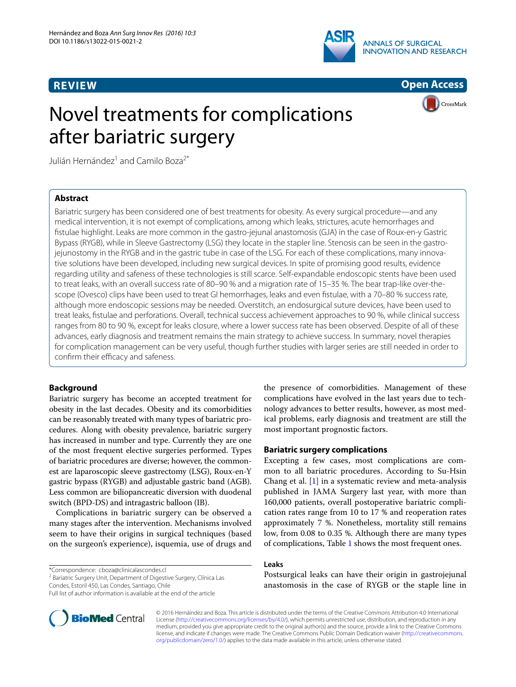# **REVIEW**



**Open Access**

# Novel treatments for complications after bariatric surgery



Julián Hernández<sup>1</sup> and Camilo Boza<sup>2\*</sup>

# **Abstract**

Bariatric surgery has been considered one of best treatments for obesity. As every surgical procedure—and any medical intervention, it is not exempt of complications, among which leaks, strictures, acute hemorrhages and fistulae highlight. Leaks are more common in the gastro-jejunal anastomosis (GJA) in the case of Roux-en-y Gastric Bypass (RYGB), while in Sleeve Gastrectomy (LSG) they locate in the stapler line. Stenosis can be seen in the gastrojejunostomy in the RYGB and in the gastric tube in case of the LSG. For each of these complications, many innovative solutions have been developed, including new surgical devices. In spite of promising good results, evidence regarding utility and safeness of these technologies is still scarce. Self-expandable endoscopic stents have been used to treat leaks, with an overall success rate of 80–90 % and a migration rate of 15–35 %. The bear trap-like over-thescope (Ovesco) clips have been used to treat GI hemorrhages, leaks and even fistulae, with a 70–80 % success rate, although more endoscopic sessions may be needed. Overstitch, an endosurgical suture devices, have been used to treat leaks, fistulae and perforations. Overall, technical success achievement approaches to 90 %, while clinical success ranges from 80 to 90 %, except for leaks closure, where a lower success rate has been observed. Despite of all of these advances, early diagnosis and treatment remains the main strategy to achieve success. In summary, novel therapies for complication management can be very useful, though further studies with larger series are still needed in order to confirm their efficacy and safeness.

# **Background**

Bariatric surgery has become an accepted treatment for obesity in the last decades. Obesity and its comorbidities can be reasonably treated with many types of bariatric procedures. Along with obesity prevalence, bariatric surgery has increased in number and type. Currently they are one of the most frequent elective surgeries performed. Types of bariatric procedures are diverse; however, the commonest are laparoscopic sleeve gastrectomy (LSG), Roux-en-Y gastric bypass (RYGB) and adjustable gastric band (AGB). Less common are biliopancreatic diversion with duodenal switch (BPD-DS) and intragastric balloon (IB).

Complications in bariatric surgery can be observed a many stages after the intervention. Mechanisms involved seem to have their origins in surgical techniques (based on the surgeon's experience), isquemia, use of drugs and

\*Correspondence: cboza@clinicalascondes.cl

<sup>2</sup> Bariatric Surgery Unit, Department of Digestive Surgery, Clínica Las Condes, Estoril 450, Las Condes, Santiago, Chile

the presence of comorbidities. Management of these complications have evolved in the last years due to technology advances to better results, however, as most medical problems, early diagnosis and treatment are still the most important prognostic factors.

# **Bariatric surgery complications**

Excepting a few cases, most complications are common to all bariatric procedures. According to Su-Hsin Chang et al. [\[1](#page-4-0)] in a systematic review and meta-analysis published in JAMA Surgery last year, with more than 160,000 patients, overall postoperative bariatric complication rates range from 10 to 17 % and reoperation rates approximately 7 %. Nonetheless, mortality still remains low, from 0.08 to 0.35 %. Although there are many types of complications, Table [1](#page-1-0) shows the most frequent ones.

# **Leaks**

Postsurgical leaks can have their origin in gastrojejunal anastomosis in the case of RYGB or the staple line in

© 2016 Hernáíndez and Boza. This article is distributed under the terms of the Creative Commons Attribution 4.0 International License (<http://creativecommons.org/licenses/by/4.0/>), which permits unrestricted use, distribution, and reproduction in any medium, provided you give appropriate credit to the original author(s) and the source, provide a link to the Creative Commons license, and indicate if changes were made. The Creative Commons Public Domain Dedication waiver ([http://creativecommons.](http://creativecommons.org/publicdomain/zero/1.0/) [org/publicdomain/zero/1.0/](http://creativecommons.org/publicdomain/zero/1.0/)) applies to the data made available in this article, unless otherwise stated.

Full list of author information is available at the end of the article

**BioMed** Central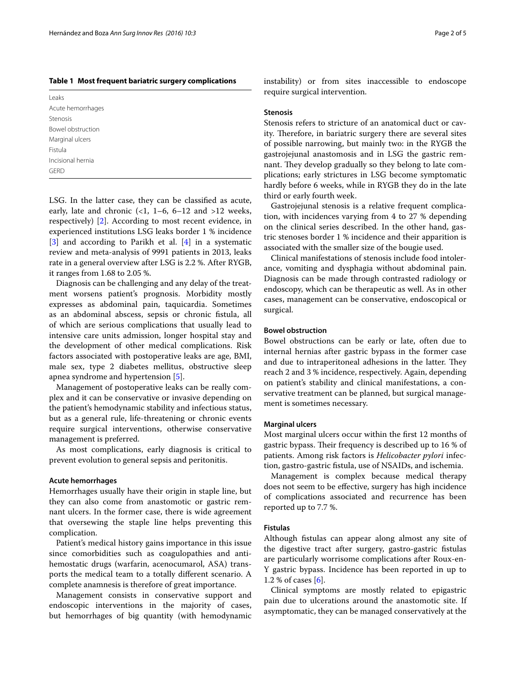<span id="page-1-0"></span>**Table 1 Most frequent bariatric surgery complications**

| Leaks                    |  |
|--------------------------|--|
| Acute hemorrhages        |  |
| Stenosis                 |  |
| <b>Bowel obstruction</b> |  |
| Marginal ulcers          |  |
| Fistula                  |  |
| Incisional hernia        |  |
| GERD                     |  |
|                          |  |

LSG. In the latter case, they can be classified as acute, early, late and chronic  $(1, 1-6, 6-12, 12)$  weeks, respectively) [\[2](#page-4-1)]. According to most recent evidence, in experienced institutions LSG leaks border 1 % incidence [[3\]](#page-4-2) and according to Parikh et al. [[4](#page-4-3)] in a systematic review and meta-analysis of 9991 patients in 2013, leaks rate in a general overview after LSG is 2.2 %. After RYGB, it ranges from 1.68 to 2.05 %.

Diagnosis can be challenging and any delay of the treatment worsens patient's prognosis. Morbidity mostly expresses as abdominal pain, taquicardia. Sometimes as an abdominal abscess, sepsis or chronic fistula, all of which are serious complications that usually lead to intensive care units admission, longer hospital stay and the development of other medical complications. Risk factors associated with postoperative leaks are age, BMI, male sex, type 2 diabetes mellitus, obstructive sleep apnea syndrome and hypertension [[5\]](#page-4-4).

Management of postoperative leaks can be really complex and it can be conservative or invasive depending on the patient's hemodynamic stability and infectious status, but as a general rule, life-threatening or chronic events require surgical interventions, otherwise conservative management is preferred.

As most complications, early diagnosis is critical to prevent evolution to general sepsis and peritonitis.

#### **Acute hemorrhages**

Hemorrhages usually have their origin in staple line, but they can also come from anastomotic or gastric remnant ulcers. In the former case, there is wide agreement that oversewing the staple line helps preventing this complication.

Patient's medical history gains importance in this issue since comorbidities such as coagulopathies and antihemostatic drugs (warfarin, acenocumarol, ASA) transports the medical team to a totally different scenario. A complete anamnesis is therefore of great importance.

Management consists in conservative support and endoscopic interventions in the majority of cases, but hemorrhages of big quantity (with hemodynamic

#### **Stenosis**

require surgical intervention.

Stenosis refers to stricture of an anatomical duct or cavity. Therefore, in bariatric surgery there are several sites of possible narrowing, but mainly two: in the RYGB the gastrojejunal anastomosis and in LSG the gastric remnant. They develop gradually so they belong to late complications; early strictures in LSG become symptomatic hardly before 6 weeks, while in RYGB they do in the late third or early fourth week.

Gastrojejunal stenosis is a relative frequent complication, with incidences varying from 4 to 27 % depending on the clinical series described. In the other hand, gastric stenoses border 1 % incidence and their apparition is associated with the smaller size of the bougie used.

Clinical manifestations of stenosis include food intolerance, vomiting and dysphagia without abdominal pain. Diagnosis can be made through contrasted radiology or endoscopy, which can be therapeutic as well. As in other cases, management can be conservative, endoscopical or surgical.

## **Bowel obstruction**

Bowel obstructions can be early or late, often due to internal hernias after gastric bypass in the former case and due to intraperitoneal adhesions in the latter. They reach 2 and 3 % incidence, respectively. Again, depending on patient's stability and clinical manifestations, a conservative treatment can be planned, but surgical management is sometimes necessary.

#### **Marginal ulcers**

Most marginal ulcers occur within the first 12 months of gastric bypass. Their frequency is described up to 16 % of patients. Among risk factors is *Helicobacter pylori* infection, gastro-gastric fistula, use of NSAIDs, and ischemia.

Management is complex because medical therapy does not seem to be effective, surgery has high incidence of complications associated and recurrence has been reported up to 7.7 %.

#### **Fistulas**

Although fistulas can appear along almost any site of the digestive tract after surgery, gastro-gastric fistulas are particularly worrisome complications after Roux-en-Y gastric bypass. Incidence has been reported in up to 1.2 % of cases [\[6](#page-4-5)].

Clinical symptoms are mostly related to epigastric pain due to ulcerations around the anastomotic site. If asymptomatic, they can be managed conservatively at the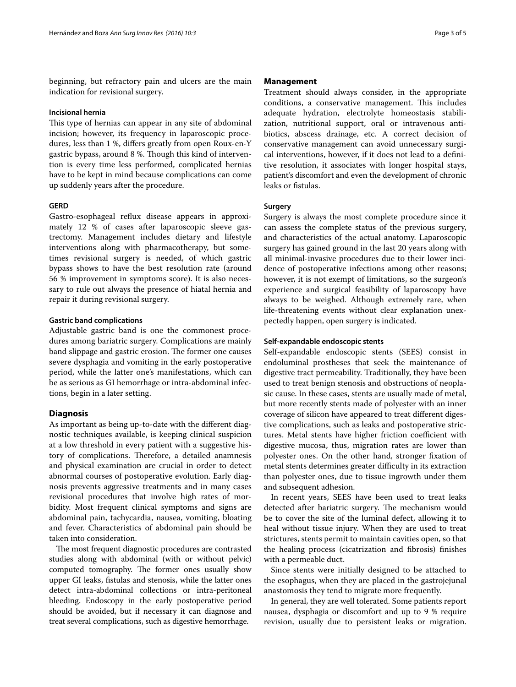beginning, but refractory pain and ulcers are the main indication for revisional surgery.

#### **Incisional hernia**

This type of hernias can appear in any site of abdominal incision; however, its frequency in laparoscopic procedures, less than 1 %, differs greatly from open Roux-en-Y gastric bypass, around 8 %. Though this kind of intervention is every time less performed, complicated hernias have to be kept in mind because complications can come up suddenly years after the procedure.

## **GERD**

Gastro-esophageal reflux disease appears in approximately 12 % of cases after laparoscopic sleeve gastrectomy. Management includes dietary and lifestyle interventions along with pharmacotherapy, but sometimes revisional surgery is needed, of which gastric bypass shows to have the best resolution rate (around 56 % improvement in symptoms score). It is also necessary to rule out always the presence of hiatal hernia and repair it during revisional surgery.

#### **Gastric band complications**

Adjustable gastric band is one the commonest procedures among bariatric surgery. Complications are mainly band slippage and gastric erosion. The former one causes severe dysphagia and vomiting in the early postoperative period, while the latter one's manifestations, which can be as serious as GI hemorrhage or intra-abdominal infections, begin in a later setting.

## **Diagnosis**

As important as being up-to-date with the different diagnostic techniques available, is keeping clinical suspicion at a low threshold in every patient with a suggestive history of complications. Therefore, a detailed anamnesis and physical examination are crucial in order to detect abnormal courses of postoperative evolution. Early diagnosis prevents aggressive treatments and in many cases revisional procedures that involve high rates of morbidity. Most frequent clinical symptoms and signs are abdominal pain, tachycardia, nausea, vomiting, bloating and fever. Characteristics of abdominal pain should be taken into consideration.

The most frequent diagnostic procedures are contrasted studies along with abdominal (with or without pelvic) computed tomography. The former ones usually show upper GI leaks, fistulas and stenosis, while the latter ones detect intra-abdominal collections or intra-peritoneal bleeding. Endoscopy in the early postoperative period should be avoided, but if necessary it can diagnose and treat several complications, such as digestive hemorrhage.

#### **Management**

Treatment should always consider, in the appropriate conditions, a conservative management. This includes adequate hydration, electrolyte homeostasis stabilization, nutritional support, oral or intravenous antibiotics, abscess drainage, etc. A correct decision of conservative management can avoid unnecessary surgical interventions, however, if it does not lead to a definitive resolution, it associates with longer hospital stays, patient's discomfort and even the development of chronic leaks or fistulas.

#### **Surgery**

Surgery is always the most complete procedure since it can assess the complete status of the previous surgery, and characteristics of the actual anatomy. Laparoscopic surgery has gained ground in the last 20 years along with all minimal-invasive procedures due to their lower incidence of postoperative infections among other reasons; however, it is not exempt of limitations, so the surgeon's experience and surgical feasibility of laparoscopy have always to be weighed. Although extremely rare, when life-threatening events without clear explanation unexpectedly happen, open surgery is indicated.

#### **Self‑expandable endoscopic stents**

Self-expandable endoscopic stents (SEES) consist in endoluminal prostheses that seek the maintenance of digestive tract permeability. Traditionally, they have been used to treat benign stenosis and obstructions of neoplasic cause. In these cases, stents are usually made of metal, but more recently stents made of polyester with an inner coverage of silicon have appeared to treat different digestive complications, such as leaks and postoperative strictures. Metal stents have higher friction coefficient with digestive mucosa, thus, migration rates are lower than polyester ones. On the other hand, stronger fixation of metal stents determines greater difficulty in its extraction than polyester ones, due to tissue ingrowth under them and subsequent adhesion.

In recent years, SEES have been used to treat leaks detected after bariatric surgery. The mechanism would be to cover the site of the luminal defect, allowing it to heal without tissue injury. When they are used to treat strictures, stents permit to maintain cavities open, so that the healing process (cicatrization and fibrosis) finishes with a permeable duct.

Since stents were initially designed to be attached to the esophagus, when they are placed in the gastrojejunal anastomosis they tend to migrate more frequently.

In general, they are well tolerated. Some patients report nausea, dysphagia or discomfort and up to 9 % require revision, usually due to persistent leaks or migration.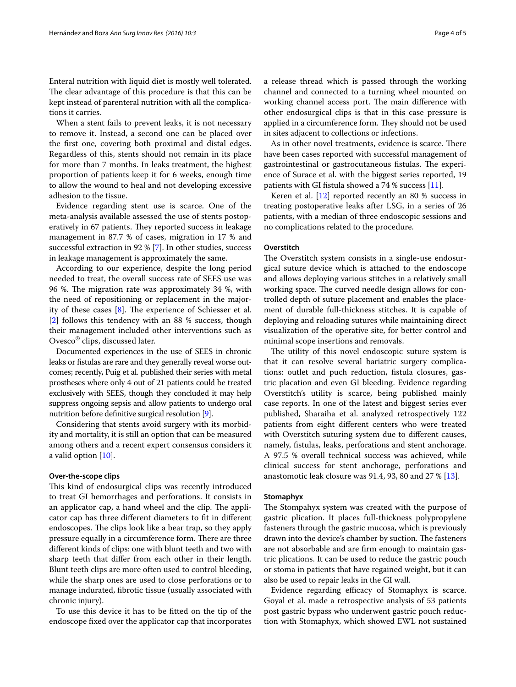Enteral nutrition with liquid diet is mostly well tolerated. The clear advantage of this procedure is that this can be kept instead of parenteral nutrition with all the complications it carries.

When a stent fails to prevent leaks, it is not necessary to remove it. Instead, a second one can be placed over the first one, covering both proximal and distal edges. Regardless of this, stents should not remain in its place for more than 7 months. In leaks treatment, the highest proportion of patients keep it for 6 weeks, enough time to allow the wound to heal and not developing excessive adhesion to the tissue.

Evidence regarding stent use is scarce. One of the meta-analysis available assessed the use of stents postoperatively in 67 patients. They reported success in leakage management in 87.7 % of cases, migration in 17 % and successful extraction in 92 % [\[7\]](#page-4-6). In other studies, success in leakage management is approximately the same.

According to our experience, despite the long period needed to treat, the overall success rate of SEES use was 96 %. The migration rate was approximately 34 %, with the need of repositioning or replacement in the majority of these cases [[8\]](#page-4-7). The experience of Schiesser et al. [[2\]](#page-4-1) follows this tendency with an 88 % success, though their management included other interventions such as Ovesco® clips, discussed later.

Documented experiences in the use of SEES in chronic leaks or fistulas are rare and they generally reveal worse outcomes; recently, Puig et al. published their series with metal prostheses where only 4 out of 21 patients could be treated exclusively with SEES, though they concluded it may help suppress ongoing sepsis and allow patients to undergo oral nutrition before definitive surgical resolution [\[9\]](#page-4-8).

Considering that stents avoid surgery with its morbidity and mortality, it is still an option that can be measured among others and a recent expert consensus considers it a valid option [[10\]](#page-4-9).

#### **Over‑the‑scope clips**

This kind of endosurgical clips was recently introduced to treat GI hemorrhages and perforations. It consists in an applicator cap, a hand wheel and the clip. The applicator cap has three different diameters to fit in different endoscopes. The clips look like a bear trap, so they apply pressure equally in a circumference form. There are three different kinds of clips: one with blunt teeth and two with sharp teeth that differ from each other in their length. Blunt teeth clips are more often used to control bleeding, while the sharp ones are used to close perforations or to manage indurated, fibrotic tissue (usually associated with chronic injury).

To use this device it has to be fitted on the tip of the endoscope fixed over the applicator cap that incorporates a release thread which is passed through the working channel and connected to a turning wheel mounted on working channel access port. The main difference with other endosurgical clips is that in this case pressure is applied in a circumference form. They should not be used in sites adjacent to collections or infections.

As in other novel treatments, evidence is scarce. There have been cases reported with successful management of gastrointestinal or gastrocutaneous fistulas. The experience of Surace et al. with the biggest series reported, 19 patients with GI fistula showed a 74 % success [\[11\]](#page-4-10).

Keren et al.  $[12]$  reported recently an 80 % success in treating postoperative leaks after LSG, in a series of 26 patients, with a median of three endoscopic sessions and no complications related to the procedure.

## **Overstitch**

The Overstitch system consists in a single-use endosurgical suture device which is attached to the endoscope and allows deploying various stitches in a relatively small working space. The curved needle design allows for controlled depth of suture placement and enables the placement of durable full-thickness stitches. It is capable of deploying and reloading sutures while maintaining direct visualization of the operative site, for better control and minimal scope insertions and removals.

The utility of this novel endoscopic suture system is that it can resolve several bariatric surgery complications: outlet and puch reduction, fistula closures, gastric placation and even GI bleeding. Evidence regarding Overstitch's utility is scarce, being published mainly case reports. In one of the latest and biggest series ever published, Sharaiha et al. analyzed retrospectively 122 patients from eight different centers who were treated with Overstitch suturing system due to different causes, namely, fistulas, leaks, perforations and stent anchorage. A 97.5 % overall technical success was achieved, while clinical success for stent anchorage, perforations and anastomotic leak closure was 91.4, 93, 80 and 27 % [[13](#page-4-12)].

#### **Stomaphyx**

The Stompahyx system was created with the purpose of gastric plication. It places full-thickness polypropylene fasteners through the gastric mucosa, which is previously drawn into the device's chamber by suction. The fasteners are not absorbable and are firm enough to maintain gastric plications. It can be used to reduce the gastric pouch or stoma in patients that have regained weight, but it can also be used to repair leaks in the GI wall.

Evidence regarding efficacy of Stomaphyx is scarce. Goyal et al. made a retrospective analysis of 53 patients post gastric bypass who underwent gastric pouch reduction with Stomaphyx, which showed EWL not sustained